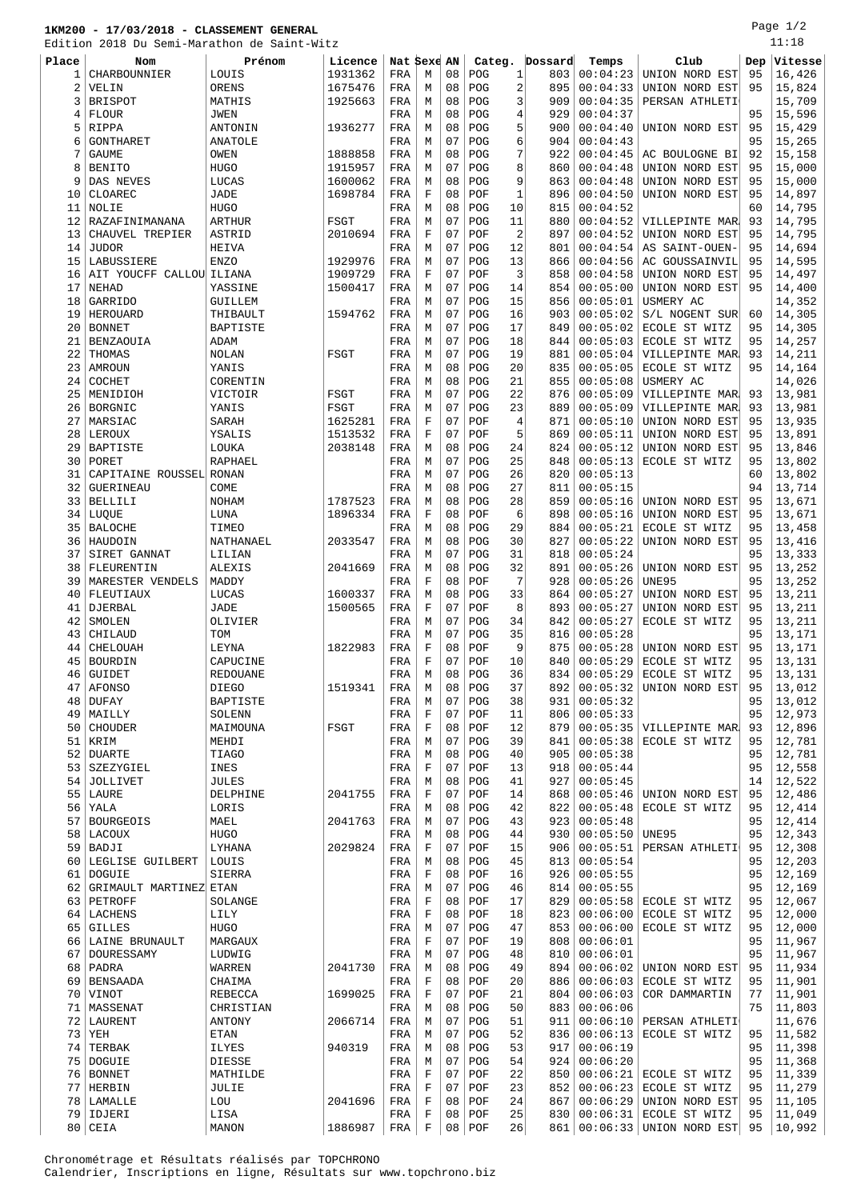## **1KM200 - 17/03/2018 - CLASSEMENT GENERAL**

Edition 2018 Du Semi-Marathon de Saint-Witz

Page 1/2 11:18

| EQITION |                          | 2018 Du Semi-Marathon de Saint-Witz |         |             |             |    |          |                |         |              |                           |     | ⊥⊥ ∙ ⊥∪          |
|---------|--------------------------|-------------------------------------|---------|-------------|-------------|----|----------|----------------|---------|--------------|---------------------------|-----|------------------|
| Place   | <b>Nom</b>               | Prénom                              | Licence | Nat Sexe AN |             |    | Categ.   |                | Dossard | Temps        | Club                      | Dep | $ {\tt Vitesse}$ |
| 1       | CHARBOUNNIER             | LOUIS                               | 1931362 | FRA         | М           | 08 | POG      | 1              | 803     | 00:04:23     | UNION NORD EST            | 95  | 16,426           |
| 2       | VELIN                    | ORENS                               | 1675476 | FRA         | М           | 08 | POG      | $\overline{a}$ | 895     | 00:04:33     | UNION NORD EST            | 95  | 15,824           |
| 3       | <b>BRISPOT</b>           |                                     | 1925663 | FRA         |             | 08 | POG      | 3              | 909     | 00:04:35     |                           |     | 15,709           |
|         |                          | MATHIS                              |         |             | М           |    |          |                |         |              | PERSAN ATHLETI            |     |                  |
| 4       | <b>FLOUR</b>             | JWEN                                |         | FRA         | М           | 08 | POG      | $\overline{4}$ | 929     | 00:04:37     |                           | 95  | 15,596           |
| 5       | RIPPA                    | ANTONIN                             | 1936277 | FRA         | М           | 08 | POG      | 5              | 900     | 00:04:40     | UNION NORD EST            | 95  | 15,429           |
| 6       | GONTHARET                | ANATOLE                             |         | FRA         | М           | 07 | POG      | 6              | 904     | 00:04:43     |                           | 95  | 15,265           |
| 7       | <b>GAUME</b>             | OWEN                                | 1888858 | FRA         | М           | 08 | POG      | 7              | 922     | 00:04:45     | AC BOULOGNE BI            | 92  | 15,158           |
| 8       | <b>BENITO</b>            | <b>HUGO</b>                         | 1915957 | FRA         | М           | 07 | POG      | 8              | 860     | 00:04:48     | UNION NORD EST            | 95  | 15,000           |
| 9       | DAS NEVES                | LUCAS                               | 1600062 | FRA         | М           | 08 | POG      | 9              | 863     | 00:04:48     | UNION NORD EST            | 95  | 15,000           |
|         |                          |                                     |         |             |             |    |          |                |         |              |                           |     |                  |
| 10      | CLOAREC                  | JADE                                | 1698784 | FRA         | F           | 08 | POF      | $\mathbf{1}$   | 896     | 00:04:50     | UNION NORD EST            | 95  | 14,897           |
| 11      | NOLIE                    | <b>HUGO</b>                         |         | FRA         | М           | 08 | POG      | 10             | 815     | 00:04:52     |                           | 60  | 14,795           |
| 12      | RAZAFINIMANANA           | <b>ARTHUR</b>                       | FSGT    | FRA         | М           | 07 | POG      | 11             | 880     | 00:04:52     | VILLEPINTE MAR            | 93  | 14,795           |
| 13      | CHAUVEL TREPIER          | ASTRID                              | 2010694 | FRA         | F           | 07 | POF      | $\overline{2}$ | 897     | 00:04:52     | UNION NORD EST            | 95  | 14,795           |
| 14      | <b>JUDOR</b>             | HEIVA                               |         | FRA         | М           | 07 | POG      | 12             | 801     | 00:04:54     | AS SAINT-OUEN-            | 95  | 14,694           |
| 15      | LABUSSIERE               | <b>ENZO</b>                         | 1929976 | FRA         | М           | 07 | POG      | 13             | 866     | 00:04:56     | AC GOUSSAINVIL            | 95  | 14,595           |
|         |                          |                                     |         |             |             |    |          |                |         |              |                           |     |                  |
| 16      | AIT YOUCFF CALLOU ILIANA |                                     | 1909729 | FRA         | F           | 07 | POF      | 3              | 858     | 00:04:58     | UNION NORD EST            | 95  | 14,497           |
| 17      | <b>NEHAD</b>             | YASSINE                             | 1500417 | FRA         | М           | 07 | POG      | 14             | 854     | 00:05:00     | UNION NORD EST            | 95  | 14,400           |
| 18      | GARRIDO                  | GUILLEM                             |         | FRA         | М           | 07 | POG      | 15             | 856     | 00:05:01     | USMERY AC                 |     | 14,352           |
| 19      | HEROUARD                 | THIBAULT                            | 1594762 | FRA         | М           | 07 | POG      | 16             | 903     | 00:05:02     | S/L NOGENT SUR            | 60  | 14,305           |
| 20      | <b>BONNET</b>            | BAPTISTE                            |         | FRA         | М           | 07 | POG      | 17             | 849     | 00:05:02     | ECOLE ST WITZ             | 95  | 14,305           |
| 21      | <b>BENZAOUIA</b>         | ADAM                                |         | FRA         | М           | 07 | POG      | 18             | 844     | 00:05:03     | ECOLE ST WITZ             | 95  | 14,257           |
|         |                          |                                     |         |             |             |    |          |                |         |              |                           |     |                  |
| 22      | THOMAS                   | NOLAN                               | FSGT    | FRA         | М           | 07 | POG      | 19             | 881     | 00:05:04     | VILLEPINTE MAR            | 93  | 14,211           |
| 23      | AMROUN                   | YANIS                               |         | FRA         | М           | 08 | POG      | 20             | 835     | 00:05:05     | ECOLE ST WITZ             | 95  | 14,164           |
| 24      | COCHET                   | CORENTIN                            |         | FRA         | М           | 08 | POG      | 21             | 855     | 00:05:08     | USMERY AC                 |     | 14,026           |
| 25      | MENIDIOH                 | VICTOIR                             | FSGT    | FRA         | М           | 07 | POG      | 22             | 876     | 00:05:09     | VILLEPINTE MAR            | 93  | 13,981           |
| 26      | BORGNIC                  | YANIS                               | FSGT    | FRA         | М           | 07 | POG      | 23             | 889     | 00:05:09     | VILLEPINTE MAR            | 93  | 13,981           |
|         |                          |                                     |         |             | F           | 07 | POF      |                | 871     |              |                           | 95  | 13,935           |
| 27      | MARSIAC                  | SARAH                               | 1625281 | FRA         |             |    |          | $\overline{4}$ |         | 00:05:10     | UNION NORD EST            |     |                  |
| 28      | LEROUX                   | YSALIS                              | 1513532 | FRA         | F           | 07 | POF      | 5              | 869     | 00:05:11     | UNION NORD EST            | 95  | 13,891           |
| 29      | <b>BAPTISTE</b>          | LOUKA                               | 2038148 | FRA         | М           | 08 | POG      | 24             | 824     | 00:05:12     | UNION NORD EST            | 95  | 13,846           |
| 30      | PORET                    | RAPHAEL                             |         | FRA         | М           | 07 | POG      | 25             | 848     | 00:05:13     | ECOLE ST WITZ             | 95  | 13,802           |
| 31      | CAPITAINE ROUSSEL RONAN  |                                     |         | FRA         | М           | 07 | POG      | 26             | 820     | 00:05:13     |                           | 60  | 13,802           |
| 32      | <b>GUERINEAU</b>         | COME                                |         | FRA         | М           | 08 | POG      | 27             | 811     | 00:05:15     |                           | 94  | 13,714           |
|         |                          |                                     |         |             |             | 08 | POG      | 28             | 859     | 00:05:16     |                           |     |                  |
| 33      | <b>BELLILI</b>           | <b>NOHAM</b>                        | 1787523 | FRA         | М           |    |          |                |         |              | UNION NORD EST            | 95  | 13,671           |
| 34      | LUQUE                    | LUNA                                | 1896334 | FRA         | F           | 08 | POF      | 6              | 898     | 00:05:16     | UNION NORD EST            | 95  | 13,671           |
| 35      | <b>BALOCHE</b>           | TIMEO                               |         | FRA         | М           | 08 | POG      | 29             | 884     | 00:05:21     | ECOLE ST WITZ             | 95  | 13,458           |
| 36      | HAUDOIN                  | NATHANAEL                           | 2033547 | FRA         | М           | 08 | POG      | 30             | 827     | 00:05:22     | UNION NORD EST            | 95  | 13,416           |
| 37      | SIRET GANNAT             | LILIAN                              |         | FRA         | М           | 07 | POG      | 31             | 818     | 00:05:24     |                           | 95  | 13,333           |
| 38      | FLEURENTIN               | <b>ALEXIS</b>                       | 2041669 | FRA         | М           | 08 | POG      | 32             | 891     | 00:05:26     | UNION NORD EST            | 95  | 13,252           |
| 39      |                          |                                     |         |             | $\mathbf F$ | 08 | POF      | 7              | 928     | 00:05:26     | <b>UNE95</b>              | 95  | 13,252           |
|         | MARESTER VENDELS         | MADDY                               |         | FRA         |             |    |          |                |         |              |                           |     |                  |
| 40      | FLEUTIAUX                | LUCAS                               | 1600337 | FRA         | М           | 08 | POG      | 33             | 864     | 00:05:27     | UNION NORD EST            | 95  | 13,211           |
| 41      | DJERBAL                  | JADE                                | 1500565 | FRA         | F           | 07 | POF      | 8              | 893     | 00:05:27     | UNION NORD EST            | 95  | 13,211           |
| 42      | SMOLEN                   | OLIVIER                             |         | FRA         | М           | 07 | POG      | 34             | 842     | 00:05:27     | ECOLE ST WITZ             | 95  | 13,211           |
| 43      | CHILAUD                  | TOM                                 |         | FRA         | М           | 07 | POG      | 35             | 816     | 00:05:28     |                           | 95  | 13,171           |
| 44      | CHELOUAH                 | LEYNA                               | 1822983 | FRA         | F           | 08 | POF      | 9              | 875     | 00:05:28     | UNION NORD EST            | 95  | 13,171           |
|         | <b>BOURDIN</b>           |                                     |         |             |             |    |          |                |         |              |                           | 95  |                  |
| 45      |                          | CAPUCINE                            |         | FRA         | F           | 07 | POF      | 10             | 840     | 00:05:29     | ECOLE ST WITZ             |     | 13,131           |
| 46      | <b>GUIDET</b>            | <b>REDOUANE</b>                     |         | FRA         | М           | 08 | POG      | 36             |         | 834 00:05:29 | ECOLE ST WITZ             | 95  | 13,131           |
|         | 47   AFONSO              | DIEGO                               | 1519341 | FRA         | М           | 08 | POG      | 37             | 892     | 00:05:32     | UNION NORD EST            | 95  | 13,012           |
|         | $48$ DUFAY               | BAPTISTE                            |         | FRA         | М           | 07 | POG      | 38             | 931     | 00:05:32     |                           | 95  | 13,012           |
| 49      | MAILLY                   | SOLENN                              |         | FRA         | F           | 07 | POF      | 11             | 806     | 00:05:33     |                           | 95  | 12,973           |
| 50      | <b>CHOUDER</b>           | MAIMOUNA                            | FSGT    | FRA         | F           | 08 | POF      | 12             | 879     | 00:05:35     | VILLEPINTE MAR            | 93  | 12,896           |
| 51      |                          | MEHDI                               |         |             |             | 07 | POG      | 39             | 841     | 00:05:38     | ECOLE ST WITZ             | 95  | 12,781           |
|         | KRIM                     |                                     |         | FRA         | М           |    |          |                |         |              |                           |     |                  |
| 52      | <b>DUARTE</b>            | TIAGO                               |         | FRA         | М           | 08 | POG      | 40             | 905     | 00:05:38     |                           | 95  | 12,781           |
| 53      | SZEZYGIEL                | INES                                |         | FRA         | F           | 07 | POF      | 13             | 918     | 00:05:44     |                           | 95  | 12,558           |
| 54      | JOLLIVET                 | <b>JULES</b>                        |         | FRA         | М           | 08 | POG      | 41             | 927     | 00:05:45     |                           | 14  | 12,522           |
|         | $55$   LAURE             | DELPHINE                            | 2041755 | FRA         | $\mathbf F$ | 07 | POF      | 14             | 868     | 00:05:46     | UNION NORD EST            | 95  | 12,486           |
| 56      | YALA                     | LORIS                               |         | FRA         | М           | 08 | POG      | 42             | 822     | 00:05:48     | ECOLE ST WITZ             | 95  | 12,414           |
| 57      | <b>BOURGEOIS</b>         | MAEL                                | 2041763 | FRA         | М           | 07 | POG      | 43             | 923     | 00:05:48     |                           | 95  | 12,414           |
|         |                          |                                     |         |             |             |    |          |                |         |              |                           |     |                  |
|         | 58   LACOUX              | <b>HUGO</b>                         |         | FRA         | М           | 08 | POG      | 44             | 930     | 00:05:50     | UNE95                     | 95  | 12,343           |
| 59      | BADJI                    | LYHANA                              | 2029824 | FRA         | F           | 07 | POF      | 15             | 906     | 00:05:51     | PERSAN ATHLETI            | 95  | 12,308           |
|         | 60   LEGLISE GUILBERT    | LOUIS                               |         | FRA         | М           | 08 | POG      | 45             | 813     | 00:05:54     |                           | 95  | 12,203           |
| 61      | DOGUIE                   | SIERRA                              |         | FRA         | F           | 08 | POF      | 16             | 926     | 00:05:55     |                           | 95  | 12,169           |
| 62      | GRIMAULT MARTINEZ ETAN   |                                     |         | FRA         | М           | 07 | POG      | 46             | 814     | 00:05:55     |                           | 95  | 12,169           |
| 63      | PETROFF                  | SOLANGE                             |         | FRA         | F           | 08 | POF      | 17             | 829     | 00:05:58     | ECOLE ST WITZ             | 95  | 12,067           |
|         |                          |                                     |         |             |             |    |          |                |         |              |                           |     |                  |
| 64      | LACHENS                  | LILY                                |         | FRA         | $\mathbf F$ | 08 | POF      | 18             | 823     | 00:06:00     | ECOLE ST WITZ             | 95  | 12,000           |
| 65      | <b>GILLES</b>            | HUGO                                |         | FRA         | М           | 07 | POG      | 47             | 853     | 00:06:00     | ECOLE ST WITZ             | 95  | 12,000           |
| 66      | LAINE BRUNAULT           | MARGAUX                             |         | FRA         | F           | 07 | POF      | 19             | 808     | 00:06:01     |                           | 95  | 11,967           |
| 67      | DOURESSAMY               | LUDWIG                              |         | FRA         | М           | 07 | POG      | 48             | 810     | 00:06:01     |                           | 95  | 11,967           |
|         | 68   PADRA               | WARREN                              | 2041730 | FRA         | М           | 08 | POG      | 49             | 894     | 00:06:02     | UNION NORD EST            | 95  | 11,934           |
|         | 69 BENSAADA              | CHAIMA                              |         | FRA         | F           | 08 | POF      | 20             | 886     | 00:06:03     | ECOLE ST WITZ             | 95  | 11,901           |
|         |                          |                                     |         |             |             |    |          |                |         |              |                           |     |                  |
| 70      | VINOT                    | REBECCA                             | 1699025 | FRA         | F           | 07 | POF      | 21             | 804     | 00:06:03     | COR DAMMARTIN             | 77  | 11,901           |
| 71      | MASSENAT                 | CHRISTIAN                           |         | FRA         | М           | 08 | POG      | 50             | 883     | 00:06:06     |                           | 75  | 11,803           |
| 72      | LAURENT                  | ANTONY                              | 2066714 | FRA         | М           | 07 | POG      | 51             | 911     | 00:06:10     | PERSAN ATHLETI            |     | 11,676           |
| 73      | YEH                      | ETAN                                |         | FRA         | М           | 07 | POG      | 52             | 836     | 00:06:13     | ECOLE ST WITZ             | 95  | 11,582           |
| 74      | TERBAK                   | ILYES                               | 940319  | FRA         | М           | 08 | POG      | 53             | 917     | 00:06:19     |                           | 95  | 11,398           |
|         | 75   DOGUIE              | DIESSE                              |         | FRA         | М           | 07 | POG      | 54             | 924     | 00:06:20     |                           | 95  |                  |
|         |                          |                                     |         |             |             |    |          |                |         |              |                           |     | 11,368           |
|         | 76   BONNET              | MATHILDE                            |         | FRA         | F           | 07 | POF      | 22             | 850     | 00:06:21     | ECOLE ST WITZ             | 95  | 11,339           |
| 77      | HERBIN                   | JULIE                               |         | FRA         | F           | 07 | POF      | 23             | 852     | 00:06:23     | ECOLE ST WITZ             | 95  | 11,279           |
|         | 78   LAMALLE             | LOU                                 | 2041696 | FRA         | F           | 08 | POF      | 24             | 867     | 00:06:29     | UNION NORD EST            | 95  | 11,105           |
| 79      | IDJERI                   | LISA                                |         | FRA         | F           | 08 | POF      | 25             | 830     | 00:06:31     | ECOLE ST WITZ             | 95  | 11,049           |
|         | $80$ CEIA                | MANON                               | 1886987 | FRA         | F           |    | 08   POF | 26             | 861     |              | $00:06:33$ UNION NORD EST | 95  | 10,992           |

Chronométrage et Résultats réalisés par TOPCHRONO Calendrier, Inscriptions en ligne, Résultats sur www.topchrono.biz